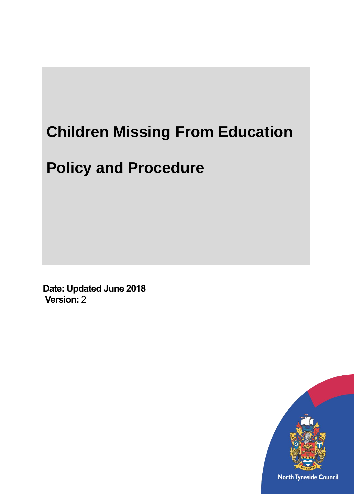# **Children Missing From Education**

# **Policy and Procedure**

**Date: Updated June 2018 Version:** 2

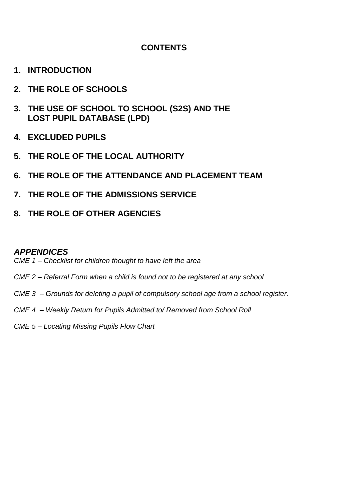## **CONTENTS**

- **1. INTRODUCTION**
- **2. THE ROLE OF SCHOOLS**
- **3. THE USE OF SCHOOL TO SCHOOL (S2S) AND THE LOST PUPIL DATABASE (LPD)**
- **4. EXCLUDED PUPILS**
- **5. THE ROLE OF THE LOCAL AUTHORITY**
- **6. THE ROLE OF THE ATTENDANCE AND PLACEMENT TEAM**
- **7. THE ROLE OF THE ADMISSIONS SERVICE**
- **8. THE ROLE OF OTHER AGENCIES**

### *APPENDICES*

- *CME 1 – Checklist for children thought to have left the area*
- *CME 2 – Referral Form when a child is found not to be registered at any school*
- *CME 3 – Grounds for deleting a pupil of compulsory school age from a school register.*
- *CME 4 – Weekly Return for Pupils Admitted to/ Removed from School Roll*
- *CME 5 – Locating Missing Pupils Flow Chart*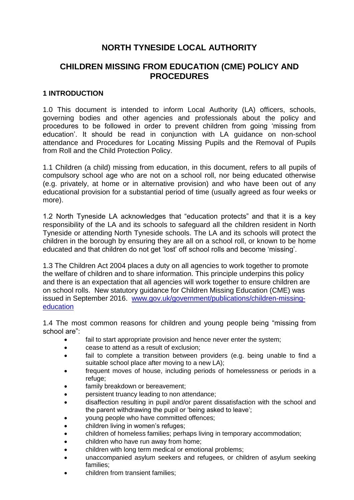## **NORTH TYNESIDE LOCAL AUTHORITY**

## **CHILDREN MISSING FROM EDUCATION (CME) POLICY AND PROCEDURES**

#### **1 INTRODUCTION**

1.0 This document is intended to inform Local Authority (LA) officers, schools, governing bodies and other agencies and professionals about the policy and procedures to be followed in order to prevent children from going 'missing from education'. It should be read in conjunction with LA guidance on non-school attendance and Procedures for Locating Missing Pupils and the Removal of Pupils from Roll and the Child Protection Policy.

1.1 Children (a child) missing from education, in this document, refers to all pupils of compulsory school age who are not on a school roll, nor being educated otherwise (e.g. privately, at home or in alternative provision) and who have been out of any educational provision for a substantial period of time (usually agreed as four weeks or more).

1.2 North Tyneside LA acknowledges that "education protects" and that it is a key responsibility of the LA and its schools to safeguard all the children resident in North Tyneside or attending North Tyneside schools. The LA and its schools will protect the children in the borough by ensuring they are all on a school roll, or known to be home educated and that children do not get 'lost' off school rolls and become 'missing'.

1.3 The Children Act 2004 places a duty on all agencies to work together to promote the welfare of children and to share information. This principle underpins this policy and there is an expectation that all agencies will work together to ensure children are on school rolls. New statutory guidance for Children Missing Education (CME) was issued in September 2016. [www.gov.uk/government/publications/children-missing](http://www.gov.uk/government/publications/children-missing-education)[education](http://www.gov.uk/government/publications/children-missing-education)

1.4 The most common reasons for children and young people being "missing from school are":

- fail to start appropriate provision and hence never enter the system;
- cease to attend as a result of exclusion;
- fail to complete a transition between providers (e.g. being unable to find a suitable school place after moving to a new LA);
- frequent moves of house, including periods of homelessness or periods in a refuge;
- family breakdown or bereavement;
- persistent truancy leading to non attendance;
- disaffection resulting in pupil and/or parent dissatisfaction with the school and the parent withdrawing the pupil or 'being asked to leave';
- young people who have committed offences;
- children living in women's refuges;
- children of homeless families; perhaps living in temporary accommodation;
- children who have run away from home;
- children with long term medical or emotional problems;
- unaccompanied asylum seekers and refugees, or children of asylum seeking families;
- children from transient families;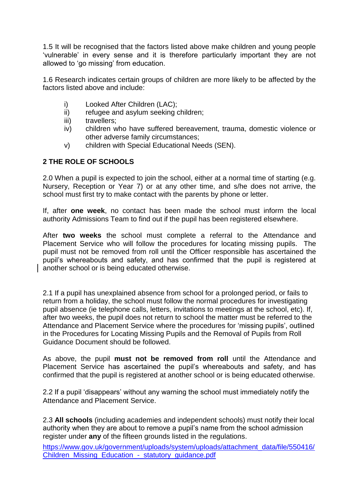1.5 It will be recognised that the factors listed above make children and young people ‗vulnerable' in every sense and it is therefore particularly important they are not allowed to 'go missing' from education.

1.6 Research indicates certain groups of children are more likely to be affected by the factors listed above and include:

- i) Looked After Children (LAC);
- ii) refugee and asylum seeking children;
- iii) travellers:
- iv) children who have suffered bereavement, trauma, domestic violence or other adverse family circumstances;
- v) children with Special Educational Needs (SEN).

#### **2 THE ROLE OF SCHOOLS**

2.0 When a pupil is expected to join the school, either at a normal time of starting (e.g. Nursery, Reception or Year 7) or at any other time, and s/he does not arrive, the school must first try to make contact with the parents by phone or letter.

If, after **one week**, no contact has been made the school must inform the local authority Admissions Team to find out if the pupil has been registered elsewhere.

After **two weeks** the school must complete a referral to the Attendance and Placement Service who will follow the procedures for locating missing pupils. The pupil must not be removed from roll until the Officer responsible has ascertained the pupil's whereabouts and safety, and has confirmed that the pupil is registered at another school or is being educated otherwise.

2.1 If a pupil has unexplained absence from school for a prolonged period, or fails to return from a holiday, the school must follow the normal procedures for investigating pupil absence (ie telephone calls, letters, invitations to meetings at the school, etc). If, after two weeks, the pupil does not return to school the matter must be referred to the Attendance and Placement Service where the procedures for 'missing pupils', outlined in the Procedures for Locating Missing Pupils and the Removal of Pupils from Roll Guidance Document should be followed.

As above, the pupil **must not be removed from roll** until the Attendance and Placement Service has ascertained the pupil's whereabouts and safety, and has confirmed that the pupil is registered at another school or is being educated otherwise.

2.2 If a pupil ‗disappears' without any warning the school must immediately notify the Attendance and Placement Service.

2.3 **All schools** (including academies and independent schools) must notify their local authority when they are about to remove a pupil's name from the school admission register under **any** of the fifteen grounds listed in the regulations.

[https://www.gov.uk/government/uploads/system/uploads/attachment\\_data/file/550416/](https://www.gov.uk/government/uploads/system/uploads/attachment_data/file/550416/Children_Missing_Education_-_statutory_guidance.pdf) [Children\\_Missing\\_Education\\_-\\_statutory\\_guidance.pdf](https://www.gov.uk/government/uploads/system/uploads/attachment_data/file/550416/Children_Missing_Education_-_statutory_guidance.pdf)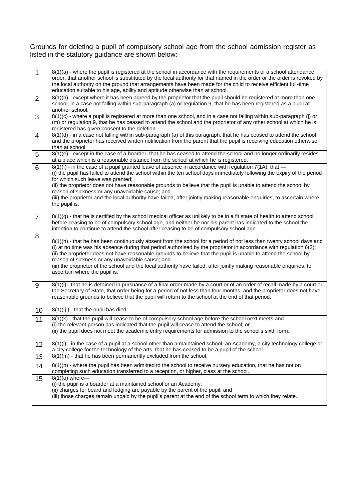Grounds for deleting a pupil of compulsory school age from the school admission register as listed in the statutory guidance are shown below:

| $\mathbf{1}$   | 8(1)(a) - where the pupil is registered at the school in accordance with the requirements of a school attendance<br>order, that another school is substituted by the local authority for that named in the order or the order is revoked by<br>the local authority on the ground that arrangements have been made for the child to receive efficient full-time<br>education suitable to his age, ability and aptitude otherwise than at school.                                                                                                                                               |
|----------------|-----------------------------------------------------------------------------------------------------------------------------------------------------------------------------------------------------------------------------------------------------------------------------------------------------------------------------------------------------------------------------------------------------------------------------------------------------------------------------------------------------------------------------------------------------------------------------------------------|
| 2              | 8(1)(b) - except where it has been agreed by the proprietor that the pupil should be registered at more than one<br>school, in a case not falling within sub-paragraph (a) or regulation 9, that he has been registered as a pupil at<br>another school.                                                                                                                                                                                                                                                                                                                                      |
| 3              | 8(1)(c) - where a pupil is registered at more than one school, and in a case not falling within sub-paragraph (j) or<br>(m) or regulation 9, that he has ceased to attend the school and the proprietor of any other school at which he is<br>registered has given consent to the deletion.                                                                                                                                                                                                                                                                                                   |
| $\overline{4}$ | 8(1)(d) - in a case not falling within sub-paragraph (a) of this paragraph, that he has ceased to attend the school<br>and the proprietor has received written notification from the parent that the pupil is receiving education otherwise<br>than at school.                                                                                                                                                                                                                                                                                                                                |
| 5              | 8(1)(e) - except in the case of a boarder, that he has ceased to attend the school and no longer ordinarily resides<br>at a place which is a reasonable distance from the school at which he is registered.                                                                                                                                                                                                                                                                                                                                                                                   |
| 6              | $8(1)(f)$ - in the case of a pupil granted leave of absence in accordance with regulation 7(1A), that $-$<br>(i) the pupil has failed to attend the school within the ten school days immediately following the expiry of the period<br>for which such leave was granted;<br>(ii) the proprietor does not have reasonable grounds to believe that the pupil is unable to attend the school by<br>reason of sickness or any unavoidable cause; and<br>(iii) the proprietor and the local authority have failed, after jointly making reasonable enquiries, to ascertain where<br>the pupil is. |
| $\overline{7}$ | 8(1)(g) - that he is certified by the school medical officer as unlikely to be in a fit state of health to attend school<br>before ceasing to be of compulsory school age, and neither he nor his parent has indicated to the school the<br>intention to continue to attend the school after ceasing to be of compulsory school age.                                                                                                                                                                                                                                                          |
| 8              | 8(1)(h) - that he has been continuously absent from the school for a period of not less than twenty school days and<br>(i) at no time was his absence during that period authorised by the proprietor in accordance with regulation 6(2);<br>(ii) the proprietor does not have reasonable grounds to believe that the pupil is unable to attend the school by<br>reason of sickness or any unavoidable cause; and<br>(iii) the proprietor of the school and the local authority have failed, after jointly making reasonable enquiries, to<br>ascertain where the pupil is.                   |
| 9              | 8(1)(i) - that he is detained in pursuance of a final order made by a court or of an order of recall made by a court or<br>the Secretary of State, that order being for a period of not less than four months, and the proprietor does not have<br>reasonable grounds to believe that the pupil will return to the school at the end of that period.                                                                                                                                                                                                                                          |
| 10             | $8(1)(i)$ - that the pupil has died.                                                                                                                                                                                                                                                                                                                                                                                                                                                                                                                                                          |
| 11             | 8(1)(k) - that the pupil will cease to be of compulsory school age before the school next meets and-<br>(i) the relevant person has indicated that the pupil will cease to attend the school; or<br>(ii) the pupil does not meet the academic entry requirements for admission to the school's sixth form.                                                                                                                                                                                                                                                                                    |
| 12             | 8(1)(I) - in the case of a pupil at a school other than a maintained school, an Academy, a city technology college or<br>a city college for the technology of the arts, that he has ceased to be a pupil of the school.                                                                                                                                                                                                                                                                                                                                                                       |
| 13             | 8(1)(m) - that he has been permanently excluded from the school.                                                                                                                                                                                                                                                                                                                                                                                                                                                                                                                              |
| 14             | 8(1)(n) - where the pupil has been admitted to the school to receive nursery education, that he has not on<br>completing such education transferred to a reception, or higher, class at the school.                                                                                                                                                                                                                                                                                                                                                                                           |
| 15             | $8(1)(o)$ where-<br>(i) the pupil is a boarder at a maintained school or an Academy;<br>(ii) charges for board and lodging are payable by the parent of the pupil; and<br>(iii) those charges remain unpaid by the pupil's parent at the end of the school term to which they relate.                                                                                                                                                                                                                                                                                                         |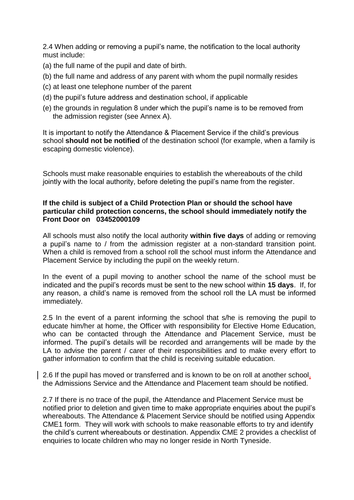2.4 When adding or removing a pupil's name, the notification to the local authority must include:

- (a) the full name of the pupil and date of birth.
- (b) the full name and address of any parent with whom the pupil normally resides
- (c) at least one telephone number of the parent
- (d) the pupil's future address and destination school, if applicable
- (e) the grounds in regulation 8 under which the pupil's name is to be removed from the admission register (see Annex A).

It is important to notify the Attendance & Placement Service if the child's previous school **should not be notified** of the destination school (for example, when a family is escaping domestic violence).

Schools must make reasonable enquiries to establish the whereabouts of the child jointly with the local authority, before deleting the pupil's name from the register.

#### **If the child is subject of a Child Protection Plan or should the school have particular child protection concerns, the school should immediately notify the Front Door on 03452000109**

All schools must also notify the local authority **within five days** of adding or removing a pupil's name to / from the admission register at a non-standard transition point. When a child is removed from a school roll the school must inform the Attendance and Placement Service by including the pupil on the weekly return.

In the event of a pupil moving to another school the name of the school must be indicated and the pupil's records must be sent to the new school within **15 days**. If, for any reason, a child's name is removed from the school roll the LA must be informed immediately.

2.5 In the event of a parent informing the school that s/he is removing the pupil to educate him/her at home, the Officer with responsibility for Elective Home Education, who can be contacted through the Attendance and Placement Service, must be informed. The pupil's details will be recorded and arrangements will be made by the LA to advise the parent / carer of their responsibilities and to make every effort to gather information to confirm that the child is receiving suitable education.

2.6 If the pupil has moved or transferred and is known to be on roll at another school, the Admissions Service and the Attendance and Placement team should be notified.

2.7 If there is no trace of the pupil, the Attendance and Placement Service must be notified prior to deletion and given time to make appropriate enquiries about the pupil's whereabouts. The Attendance & Placement Service should be notified using Appendix CME1 form. They will work with schools to make reasonable efforts to try and identify the child's current whereabouts or destination. Appendix CME 2 provides a checklist of enquiries to locate children who may no longer reside in North Tyneside.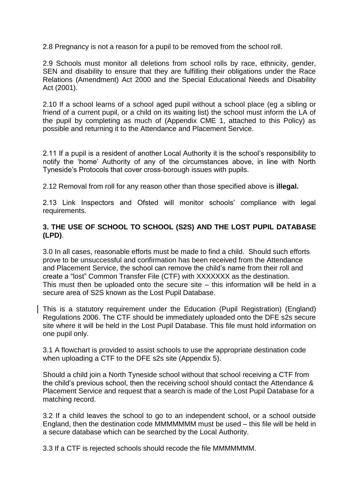2.8 Pregnancy is not a reason for a pupil to be removed from the school roll.

2.9 Schools must monitor all deletions from school rolls by race, ethnicity, gender, SEN and disability to ensure that they are fulfilling their obligations under the Race Relations (Amendment) Act 2000 and the Special Educational Needs and Disability Act (2001).

2.10 If a school learns of a school aged pupil without a school place (eg a sibling or friend of a current pupil, or a child on its waiting list) the school must inform the LA of the pupil by completing as much of (Appendix CME 1, attached to this Policy) as possible and returning it to the Attendance and Placement Service.

2.11 If a pupil is a resident of another Local Authority it is the school's responsibility to notify the ‗home' Authority of any of the circumstances above, in line with North Tyneside's Protocols that cover cross-borough issues with pupils.

2.12 Removal from roll for any reason other than those specified above is **illegal.**

2.13 Link Inspectors and Ofsted will monitor schools' compliance with legal requirements.

#### **3. THE USE OF SCHOOL TO SCHOOL (S2S) AND THE LOST PUPIL DATABASE (LPD)**.

3.0 In all cases, reasonable efforts must be made to find a child. Should such efforts prove to be unsuccessful and confirmation has been received from the Attendance and Placement Service, the school can remove the child's name from their roll and create a "lost" Common Transfer File (CTF) with XXXXXXX as the destination. This must then be uploaded onto the secure site  $-$  this information will be held in a secure area of S2S known as the Lost Pupil Database.

This is a statutory requirement under the Education (Pupil Registration) (England) Regulations 2006. The CTF should be immediately uploaded onto the DFE s2s secure site where it will be held in the Lost Pupil Database. This file must hold information on one pupil only.

3.1 A flowchart is provided to assist schools to use the appropriate destination code when uploading a CTF to the DFE s2s site (Appendix 5).

Should a child join a North Tyneside school without that school receiving a CTF from the child's previous school, then the receiving school should contact the Attendance & Placement Service and request that a search is made of the Lost Pupil Database for a matching record.

3.2 If a child leaves the school to go to an independent school, or a school outside England, then the destination code MMMMMMM must be used – this file will be held in a secure database which can be searched by the Local Authority.

3.3 If a CTF is rejected schools should recode the file MMMMMMM.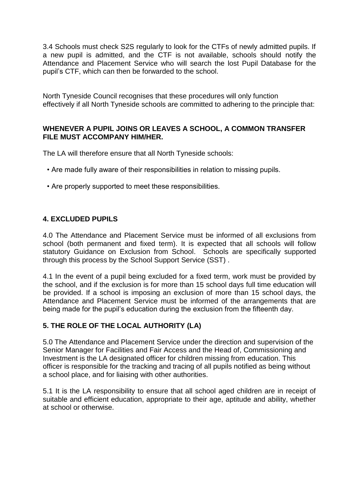3.4 Schools must check S2S regularly to look for the CTFs of newly admitted pupils. If a new pupil is admitted, and the CTF is not available, schools should notify the Attendance and Placement Service who will search the lost Pupil Database for the pupil's CTF, which can then be forwarded to the school.

North Tyneside Council recognises that these procedures will only function effectively if all North Tyneside schools are committed to adhering to the principle that:

#### **WHENEVER A PUPIL JOINS OR LEAVES A SCHOOL, A COMMON TRANSFER FILE MUST ACCOMPANY HIM/HER.**

The LA will therefore ensure that all North Tyneside schools:

- Are made fully aware of their responsibilities in relation to missing pupils.
- Are properly supported to meet these responsibilities.

#### **4. EXCLUDED PUPILS**

4.0 The Attendance and Placement Service must be informed of all exclusions from school (both permanent and fixed term). It is expected that all schools will follow statutory Guidance on Exclusion from School. Schools are specifically supported through this process by the School Support Service (SST) .

4.1 In the event of a pupil being excluded for a fixed term, work must be provided by the school, and if the exclusion is for more than 15 school days full time education will be provided. If a school is imposing an exclusion of more than 15 school days, the Attendance and Placement Service must be informed of the arrangements that are being made for the pupil's education during the exclusion from the fifteenth day.

#### **5. THE ROLE OF THE LOCAL AUTHORITY (LA)**

5.0 The Attendance and Placement Service under the direction and supervision of the Senior Manager for Facilities and Fair Access and the Head of, Commissioning and Investment is the LA designated officer for children missing from education. This officer is responsible for the tracking and tracing of all pupils notified as being without a school place, and for liaising with other authorities.

5.1 It is the LA responsibility to ensure that all school aged children are in receipt of suitable and efficient education, appropriate to their age, aptitude and ability, whether at school or otherwise.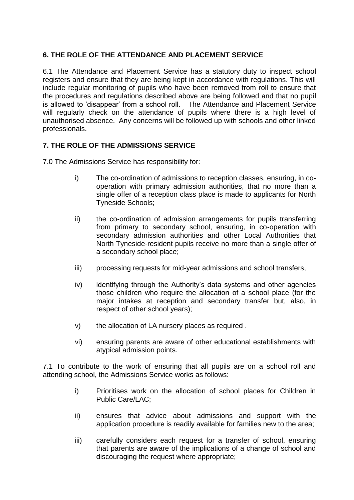#### **6. THE ROLE OF THE ATTENDANCE AND PLACEMENT SERVICE**

6.1 The Attendance and Placement Service has a statutory duty to inspect school registers and ensure that they are being kept in accordance with regulations. This will include regular monitoring of pupils who have been removed from roll to ensure that the procedures and regulations described above are being followed and that no pupil is allowed to 'disappear' from a school roll. The Attendance and Placement Service will regularly check on the attendance of pupils where there is a high level of unauthorised absence. Any concerns will be followed up with schools and other linked professionals.

#### **7. THE ROLE OF THE ADMISSIONS SERVICE**

7.0 The Admissions Service has responsibility for:

- i) The co-ordination of admissions to reception classes, ensuring, in cooperation with primary admission authorities, that no more than a single offer of a reception class place is made to applicants for North Tyneside Schools;
- ii) the co-ordination of admission arrangements for pupils transferring from primary to secondary school, ensuring, in co-operation with secondary admission authorities and other Local Authorities that North Tyneside-resident pupils receive no more than a single offer of a secondary school place;
- iii) processing requests for mid-year admissions and school transfers,
- iv) identifying through the Authority's data systems and other agencies those children who require the allocation of a school place (for the major intakes at reception and secondary transfer but, also, in respect of other school years);
- v) the allocation of LA nursery places as required .
- vi) ensuring parents are aware of other educational establishments with atypical admission points.

7.1 To contribute to the work of ensuring that all pupils are on a school roll and attending school, the Admissions Service works as follows:

- i) Prioritises work on the allocation of school places for Children in Public Care/LAC;
- ii) ensures that advice about admissions and support with the application procedure is readily available for families new to the area;
- iii) carefully considers each request for a transfer of school, ensuring that parents are aware of the implications of a change of school and discouraging the request where appropriate;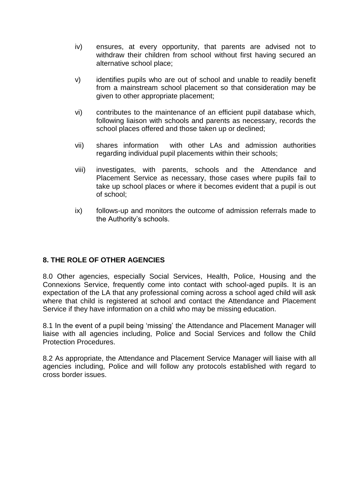- iv) ensures, at every opportunity, that parents are advised not to withdraw their children from school without first having secured an alternative school place;
- v) identifies pupils who are out of school and unable to readily benefit from a mainstream school placement so that consideration may be given to other appropriate placement;
- vi) contributes to the maintenance of an efficient pupil database which, following liaison with schools and parents as necessary, records the school places offered and those taken up or declined;
- vii) shares information with other LAs and admission authorities regarding individual pupil placements within their schools;
- viii) investigates, with parents, schools and the Attendance and Placement Service as necessary, those cases where pupils fail to take up school places or where it becomes evident that a pupil is out of school;
- ix) follows-up and monitors the outcome of admission referrals made to the Authority's schools.

#### **8. THE ROLE OF OTHER AGENCIES**

8.0 Other agencies, especially Social Services, Health, Police, Housing and the Connexions Service, frequently come into contact with school-aged pupils. It is an expectation of the LA that any professional coming across a school aged child will ask where that child is registered at school and contact the Attendance and Placement Service if they have information on a child who may be missing education.

8.1 In the event of a pupil being 'missing' the Attendance and Placement Manager will liaise with all agencies including, Police and Social Services and follow the Child Protection Procedures.

8.2 As appropriate, the Attendance and Placement Service Manager will liaise with all agencies including, Police and will follow any protocols established with regard to cross border issues.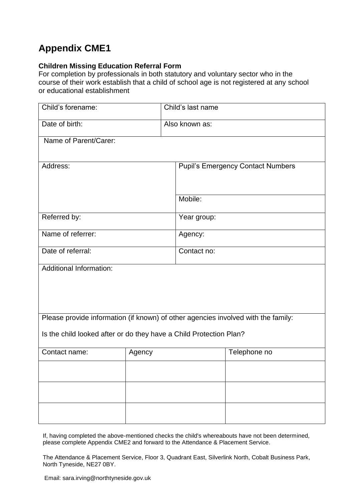# **Appendix CME1**

#### **Children Missing Education Referral Form**

For completion by professionals in both statutory and voluntary sector who in the course of their work establish that a child of school age is not registered at any school or educational establishment

| Child's forename:                                                                 |        | Child's last name                        |              |  |
|-----------------------------------------------------------------------------------|--------|------------------------------------------|--------------|--|
| Date of birth:                                                                    |        | Also known as:                           |              |  |
| Name of Parent/Carer:                                                             |        |                                          |              |  |
| Address:                                                                          |        | <b>Pupil's Emergency Contact Numbers</b> |              |  |
|                                                                                   |        | Mobile:                                  |              |  |
| Referred by:                                                                      |        | Year group:                              |              |  |
| Name of referrer:                                                                 |        | Agency:                                  |              |  |
| Date of referral:                                                                 |        | Contact no:                              |              |  |
| <b>Additional Information:</b>                                                    |        |                                          |              |  |
| Please provide information (if known) of other agencies involved with the family: |        |                                          |              |  |
| Is the child looked after or do they have a Child Protection Plan?                |        |                                          |              |  |
| Contact name:                                                                     | Agency |                                          | Telephone no |  |
|                                                                                   |        |                                          |              |  |
|                                                                                   |        |                                          |              |  |
|                                                                                   |        |                                          |              |  |

If, having completed the above-mentioned checks the child's whereabouts have not been determined, please complete Appendix CME2 and forward to the Attendance & Placement Service.

The Attendance & Placement Service, Floor 3, Quadrant East, Silverlink North, Cobalt Business Park, North Tyneside, NE27 0BY.

Email: sara.irving@northtyneside.gov.uk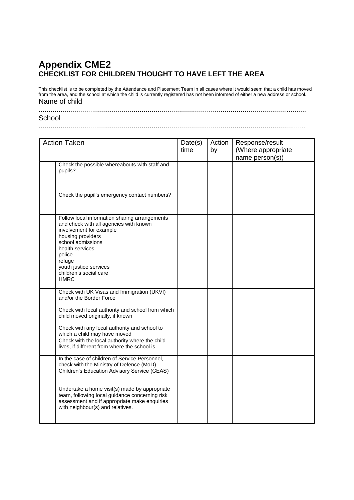## **Appendix CME2 CHECKLIST FOR CHILDREN THOUGHT TO HAVE LEFT THE AREA**

This checklist is to be completed by the Attendance and Placement Team in all cases where it would seem that a child has moved from the area, and the school at which the child is currently registered has not been informed of either a new address or school. Name of child

....................................................................................................................................... **School** 

.......................................................................................................................................

| <b>Action Taken</b> |                                                                                                                                                                                                                                                                        | Date(s)<br>time | Action<br>by | Response/result<br>(Where appropriate<br>name person(s)) |
|---------------------|------------------------------------------------------------------------------------------------------------------------------------------------------------------------------------------------------------------------------------------------------------------------|-----------------|--------------|----------------------------------------------------------|
|                     | Check the possible whereabouts with staff and<br>pupils?                                                                                                                                                                                                               |                 |              |                                                          |
|                     | Check the pupil's emergency contact numbers?                                                                                                                                                                                                                           |                 |              |                                                          |
|                     | Follow local information sharing arrangements<br>and check with all agencies with known<br>involvement for example<br>housing providers<br>school admissions<br>health services<br>police<br>refuge<br>youth justice services<br>children's social care<br><b>HMRC</b> |                 |              |                                                          |
|                     | Check with UK Visas and Immigration (UKVI)<br>and/or the Border Force                                                                                                                                                                                                  |                 |              |                                                          |
|                     | Check with local authority and school from which<br>child moved originally, if known                                                                                                                                                                                   |                 |              |                                                          |
|                     | Check with any local authority and school to<br>which a child may have moved                                                                                                                                                                                           |                 |              |                                                          |
|                     | Check with the local authority where the child<br>lives, if different from where the school is                                                                                                                                                                         |                 |              |                                                          |
|                     | In the case of children of Service Personnel,<br>check with the Ministry of Defence (MoD)<br>Children's Education Advisory Service (CEAS)                                                                                                                              |                 |              |                                                          |
|                     | Undertake a home visit(s) made by appropriate<br>team, following local guidance concerning risk<br>assessment and if appropriate make enquiries<br>with neighbour(s) and relatives.                                                                                    |                 |              |                                                          |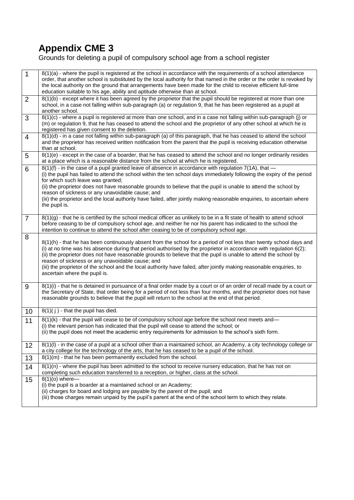# **Appendix CME 3**

Grounds for deleting a pupil of compulsory school age from a school register

| $\overline{1}$ | 8(1)(a) - where the pupil is registered at the school in accordance with the requirements of a school attendance<br>order, that another school is substituted by the local authority for that named in the order or the order is revoked by<br>the local authority on the ground that arrangements have been made for the child to receive efficient full-time<br>education suitable to his age, ability and aptitude otherwise than at school.                                                                                                                                             |
|----------------|---------------------------------------------------------------------------------------------------------------------------------------------------------------------------------------------------------------------------------------------------------------------------------------------------------------------------------------------------------------------------------------------------------------------------------------------------------------------------------------------------------------------------------------------------------------------------------------------|
| $\overline{2}$ | 8(1)(b) - except where it has been agreed by the proprietor that the pupil should be registered at more than one<br>school, in a case not falling within sub-paragraph (a) or regulation 9, that he has been registered as a pupil at<br>another school.                                                                                                                                                                                                                                                                                                                                    |
| 3              | 8(1)(c) - where a pupil is registered at more than one school, and in a case not falling within sub-paragraph (j) or<br>(m) or regulation 9, that he has ceased to attend the school and the proprietor of any other school at which he is<br>registered has given consent to the deletion.                                                                                                                                                                                                                                                                                                 |
| $\overline{4}$ | $8(1)(d)$ - in a case not falling within sub-paragraph (a) of this paragraph, that he has ceased to attend the school<br>and the proprietor has received written notification from the parent that the pupil is receiving education otherwise<br>than at school.                                                                                                                                                                                                                                                                                                                            |
| 5              | 8(1)(e) - except in the case of a boarder, that he has ceased to attend the school and no longer ordinarily resides<br>at a place which is a reasonable distance from the school at which he is registered.                                                                                                                                                                                                                                                                                                                                                                                 |
| 6              | $8(1)(f)$ - in the case of a pupil granted leave of absence in accordance with regulation 7(1A), that —<br>(i) the pupil has failed to attend the school within the ten school days immediately following the expiry of the period<br>for which such leave was granted;<br>(ii) the proprietor does not have reasonable grounds to believe that the pupil is unable to attend the school by<br>reason of sickness or any unavoidable cause; and<br>(iii) the proprietor and the local authority have failed, after jointly making reasonable enquiries, to ascertain where<br>the pupil is. |
| $\overline{7}$ | $8(1)(g)$ - that he is certified by the school medical officer as unlikely to be in a fit state of health to attend school<br>before ceasing to be of compulsory school age, and neither he nor his parent has indicated to the school the<br>intention to continue to attend the school after ceasing to be of compulsory school age.                                                                                                                                                                                                                                                      |
| 8              | 8(1)(h) - that he has been continuously absent from the school for a period of not less than twenty school days and<br>(i) at no time was his absence during that period authorised by the proprietor in accordance with regulation 6(2);<br>(ii) the proprietor does not have reasonable grounds to believe that the pupil is unable to attend the school by<br>reason of sickness or any unavoidable cause; and<br>(iii) the proprietor of the school and the local authority have failed, after jointly making reasonable enquiries, to<br>ascertain where the pupil is.                 |
| 9              | 8(1)(i) - that he is detained in pursuance of a final order made by a court or of an order of recall made by a court or<br>the Secretary of State, that order being for a period of not less than four months, and the proprietor does not have<br>reasonable grounds to believe that the pupil will return to the school at the end of that period.                                                                                                                                                                                                                                        |
| 10             | $8(1)(j)$ - that the pupil has died.                                                                                                                                                                                                                                                                                                                                                                                                                                                                                                                                                        |
| 11             | 8(1)(k) - that the pupil will cease to be of compulsory school age before the school next meets and-<br>(i) the relevant person has indicated that the pupil will cease to attend the school; or<br>(ii) the pupil does not meet the academic entry requirements for admission to the school's sixth form.                                                                                                                                                                                                                                                                                  |
| 12             | 8(1)(I) - in the case of a pupil at a school other than a maintained school, an Academy, a city technology college or<br>a city college for the technology of the arts, that he has ceased to be a pupil of the school.                                                                                                                                                                                                                                                                                                                                                                     |
| 13             | 8(1)(m) - that he has been permanently excluded from the school.                                                                                                                                                                                                                                                                                                                                                                                                                                                                                                                            |
| 14             | 8(1)(n) - where the pupil has been admitted to the school to receive nursery education, that he has not on<br>completing such education transferred to a reception, or higher, class at the school.                                                                                                                                                                                                                                                                                                                                                                                         |
| 15             | $8(1)(o)$ where-<br>(i) the pupil is a boarder at a maintained school or an Academy;<br>(ii) charges for board and lodging are payable by the parent of the pupil; and<br>(iii) those charges remain unpaid by the pupil's parent at the end of the school term to which they relate.                                                                                                                                                                                                                                                                                                       |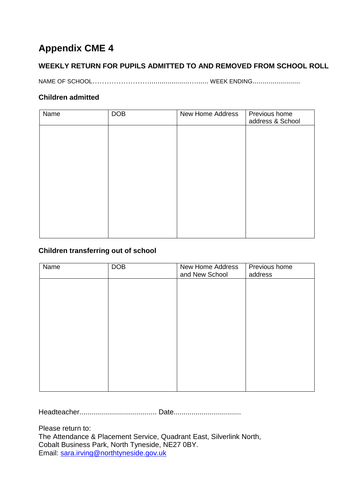# **Appendix CME 4**

### **WEEKLY RETURN FOR PUPILS ADMITTED TO AND REMOVED FROM SCHOOL ROLL**

NAME OF SCHOOL……………………....................…...... WEEK ENDING........................

#### **Children admitted**

| Name | <b>DOB</b> | New Home Address | Previous home<br>address & School |
|------|------------|------------------|-----------------------------------|
|      |            |                  |                                   |
|      |            |                  |                                   |
|      |            |                  |                                   |
|      |            |                  |                                   |
|      |            |                  |                                   |
|      |            |                  |                                   |
|      |            |                  |                                   |
|      |            |                  |                                   |

#### **Children transferring out of school**

| Name | <b>DOB</b> | New Home Address<br>and New School | Previous home<br>address |
|------|------------|------------------------------------|--------------------------|
|      |            |                                    |                          |
|      |            |                                    |                          |
|      |            |                                    |                          |
|      |            |                                    |                          |
|      |            |                                    |                          |
|      |            |                                    |                          |
|      |            |                                    |                          |
|      |            |                                    |                          |

Headteacher....................................... Date..................................

Please return to: The Attendance & Placement Service, Quadrant East, Silverlink North, Cobalt Business Park, North Tyneside, NE27 0BY. Email: [sara.irving@northtyneside.gov.uk](mailto:sara.irving@northtyneside.gov.uk)